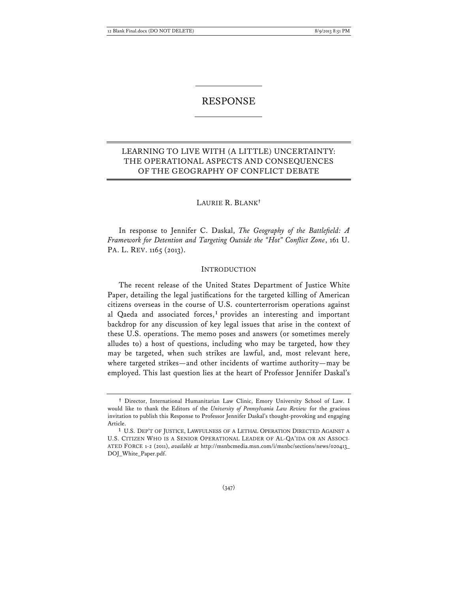# RESPONSE

# LEARNING TO LIVE WITH (A LITTLE) UNCERTAINTY: THE OPERATIONAL ASPECTS AND CONSEQUENCES OF THE GEOGRAPHY OF CONFLICT DEBATE

### LAURIE R. BLANK**†**

In response to Jennifer C. Daskal, *The Geography of the Battlefield: A Framework for Detention and Targeting Outside the "Hot" Conflict Zone*, 161 U. PA. L. REV. 1165 (2013).

#### INTRODUCTION

The recent release of the United States Department of Justice White Paper, detailing the legal justifications for the targeted killing of American citizens overseas in the course of U.S. counterterrorism operations against al Qaeda and associated forces, **<sup>1</sup>** provides an interesting and important backdrop for any discussion of key legal issues that arise in the context of these U.S. operations. The memo poses and answers (or sometimes merely alludes to) a host of questions, including who may be targeted, how they may be targeted, when such strikes are lawful, and, most relevant here, where targeted strikes—and other incidents of wartime authority—may be employed. This last question lies at the heart of Professor Jennifer Daskal's

**<sup>†</sup>** Director, International Humanitarian Law Clinic, Emory University School of Law. I would like to thank the Editors of the *University of Pennsylvania Law Review* for the gracious invitation to publish this Response to Professor Jennifer Daskal's thought-provoking and engaging Article.

**<sup>1</sup>** U.S. DEP'T OF JUSTICE, LAWFULNESS OF A LETHAL OPERATION DIRECTED AGAINST A U.S. CITIZEN WHO IS A SENIOR OPERATIONAL LEADER OF AL-QA'IDA OR AN ASSOCI-ATED FORCE 1-2 (2011), *available at* http://msnbcmedia.msn.com/i/msnbc/sections/news/020413\_ DOJ\_White\_Paper.pdf.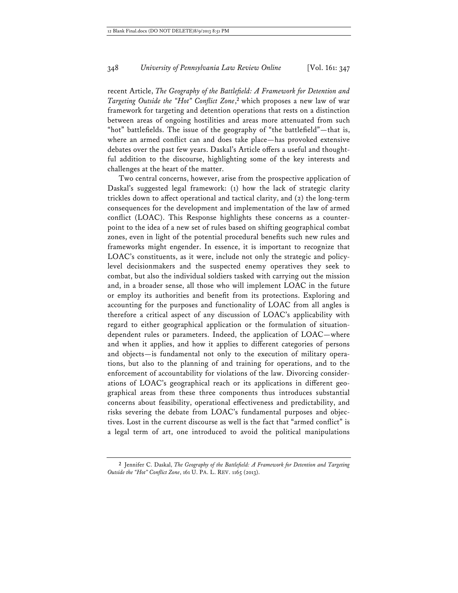recent Article, *The Geography of the Battlefield: A Framework for Detention and Targeting Outside the "Hot" Conflict Zone*, **<sup>2</sup>** which proposes a new law of war framework for targeting and detention operations that rests on a distinction between areas of ongoing hostilities and areas more attenuated from such "hot" battlefields. The issue of the geography of "the battlefield"—that is, where an armed conflict can and does take place—has provoked extensive debates over the past few years. Daskal's Article offers a useful and thoughtful addition to the discourse, highlighting some of the key interests and challenges at the heart of the matter.

Two central concerns, however, arise from the prospective application of Daskal's suggested legal framework: (1) how the lack of strategic clarity trickles down to affect operational and tactical clarity, and (2) the long-term consequences for the development and implementation of the law of armed conflict (LOAC). This Response highlights these concerns as a counterpoint to the idea of a new set of rules based on shifting geographical combat zones, even in light of the potential procedural benefits such new rules and frameworks might engender. In essence, it is important to recognize that LOAC's constituents, as it were, include not only the strategic and policylevel decisionmakers and the suspected enemy operatives they seek to combat, but also the individual soldiers tasked with carrying out the mission and, in a broader sense, all those who will implement LOAC in the future or employ its authorities and benefit from its protections. Exploring and accounting for the purposes and functionality of LOAC from all angles is therefore a critical aspect of any discussion of LOAC's applicability with regard to either geographical application or the formulation of situationdependent rules or parameters. Indeed, the application of LOAC—where and when it applies, and how it applies to different categories of persons and objects—is fundamental not only to the execution of military operations, but also to the planning of and training for operations, and to the enforcement of accountability for violations of the law. Divorcing considerations of LOAC's geographical reach or its applications in different geographical areas from these three components thus introduces substantial concerns about feasibility, operational effectiveness and predictability, and risks severing the debate from LOAC's fundamental purposes and objectives. Lost in the current discourse as well is the fact that "armed conflict" is a legal term of art, one introduced to avoid the political manipulations

**<sup>2</sup>** Jennifer C. Daskal, *The Geography of the Battlefield: A Framework for Detention and Targeting Outside the "Hot" Conflict Zone*, 161 U. PA. L. REV. 1165 (2013).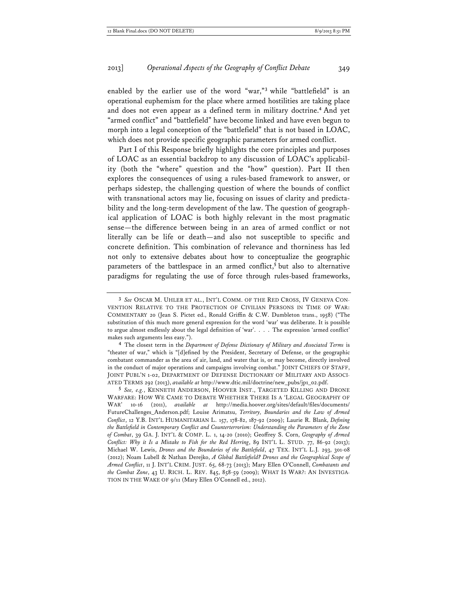enabled by the earlier use of the word "war,"**<sup>3</sup>** while "battlefield" is an operational euphemism for the place where armed hostilities are taking place and does not even appear as a defined term in military doctrine.**<sup>4</sup>** And yet "armed conflict" and "battlefield" have become linked and have even begun to morph into a legal conception of the "battlefield" that is not based in LOAC, which does not provide specific geographic parameters for armed conflict.

Part I of this Response briefly highlights the core principles and purposes of LOAC as an essential backdrop to any discussion of LOAC's applicability (both the "where" question and the "how" question). Part II then explores the consequences of using a rules-based framework to answer, or perhaps sidestep, the challenging question of where the bounds of conflict with transnational actors may lie, focusing on issues of clarity and predictability and the long-term development of the law. The question of geographical application of LOAC is both highly relevant in the most pragmatic sense—the difference between being in an area of armed conflict or not literally can be life or death—and also not susceptible to specific and concrete definition. This combination of relevance and thorniness has led not only to extensive debates about how to conceptualize the geographic parameters of the battlespace in an armed conflict, **<sup>5</sup>** but also to alternative paradigms for regulating the use of force through rules-based frameworks,

**4** The closest term in the *Department of Defense Dictionary of Military and Associated Terms* is "theater of war," which is "[d]efined by the President, Secretary of Defense, or the geographic combatant commander as the area of air, land, and water that is, or may become, directly involved in the conduct of major operations and campaigns involving combat." JOINT CHIEFS OF STAFF, JOINT PUBL'N 1-02, DEPARTMENT OF DEFENSE DICTIONARY OF MILITARY AND ASSOCI-ATED TERMS 292 (2013), *available at* http://www.dtic.mil/doctrine/new\_pubs/jp1\_02.pdf.

**5** *See, e.g.*, KENNETH ANDERSON, HOOVER INST., TARGETED KILLING AND DRONE WARFARE: HOW WE CAME TO DEBATE WHETHER THERE IS A 'LEGAL GEOGRAPHY OF WAR' 10-16 (2011), *available at* http://media.hoover.org/sites/default/files/documents/ FutureChallenges\_Anderson.pdf; Louise Arimatsu, *Territory, Boundaries and the Law of Armed Conflict*, 12 Y.B. INT'L HUMANITARIAN L. 157, 178-82, 187-92 (2009); Laurie R. Blank, *Defining the Battlefield in Contemporary Conflict and Counterterrorism: Understanding the Parameters of the Zone of Combat*, 39 GA. J. INT'L & COMP. L. 1, 14-�� (����); Geoffrey S. Corn, *Geography of Armed Conflict: Why it Is a Mistake to Fish for the Red Herring*, 89 INT'L L. STUD. 77, 86-92 (2013); Michael W. Lewis, *Drones and the Boundaries of the Battlefield*, 47 TEX. INT'L L.J. 293, 301-08 (2012); Noam Lubell & Nathan Derejko, *A Global Battlefield? Drones and the Geographical Scope of Armed Conflict*, 11 J. INT'L CRIM. JUST. 65, 68-73 (2013); Mary Ellen O'Connell, *Combatants and the Combat Zone*, 43 U. RICH. L. REV. 845, 858-59 (2009); WHAT IS WAR?: AN INVESTIGA-TION IN THE WAKE OF 9/11 (Mary Ellen O'Connell ed., 2012).

**<sup>3</sup>** *See* OSCAR M. UHLER ET AL., INT'L COMM. OF THE RED CROSS, IV GENEVA CON-VENTION RELATIVE TO THE PROTECTION OF CIVILIAN PERSONS IN TIME OF WAR: COMMENTARY �� (Jean S. Pictet ed., Ronald Griffin & C.W. Dumbleton trans., ����) ("The substitution of this much more general expression for the word 'war' was deliberate. It is possible to argue almost endlessly about the legal definition of 'war'. . . . The expression 'armed conflict' makes such arguments less easy.").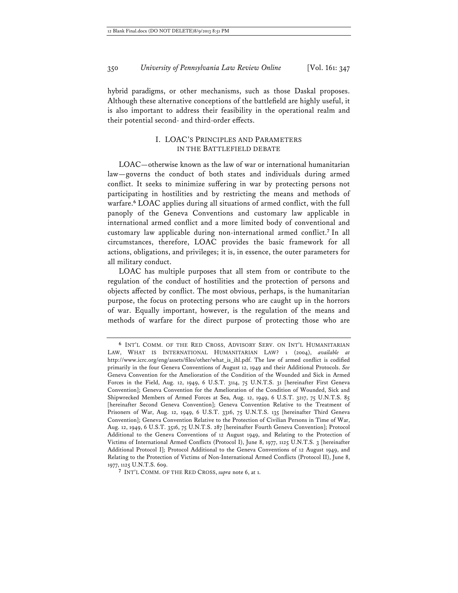hybrid paradigms, or other mechanisms, such as those Daskal proposes. Although these alternative conceptions of the battlefield are highly useful, it is also important to address their feasibility in the operational realm and their potential second- and third-order effects.

## I. LOAC'S PRINCIPLES AND PARAMETERS IN THE BATTLEFIELD DEBATE

LOAC—otherwise known as the law of war or international humanitarian law—governs the conduct of both states and individuals during armed conflict. It seeks to minimize suffering in war by protecting persons not participating in hostilities and by restricting the means and methods of warfare.**<sup>6</sup>** LOAC applies during all situations of armed conflict, with the full panoply of the Geneva Conventions and customary law applicable in international armed conflict and a more limited body of conventional and customary law applicable during non-international armed conflict.**<sup>7</sup>** In all circumstances, therefore, LOAC provides the basic framework for all actions, obligations, and privileges; it is, in essence, the outer parameters for all military conduct.

LOAC has multiple purposes that all stem from or contribute to the regulation of the conduct of hostilities and the protection of persons and objects affected by conflict. The most obvious, perhaps, is the humanitarian purpose, the focus on protecting persons who are caught up in the horrors of war. Equally important, however, is the regulation of the means and methods of warfare for the direct purpose of protecting those who are

**<sup>6</sup>** INT'L COMM. OF THE RED CROSS, ADVISORY SERV. ON INT'L HUMANITARIAN LAW, WHAT IS INTERNATIONAL HUMANITARIAN LAW? 1 (2004), *available at* http://www.icrc.org/eng/assets/files/other/what\_is\_ihl.pdf. The law of armed conflict is codified primarily in the four Geneva Conventions of August 12, 1949 and their Additional Protocols. *See* Geneva Convention for the Amelioration of the Condition of the Wounded and Sick in Armed Forces in the Field, Aug. 12, 1949, 6 U.S.T. 3114, 75 U.N.T.S. 31 [hereinafter First Geneva Convention]; Geneva Convention for the Amelioration of the Condition of Wounded, Sick and Shipwrecked Members of Armed Forces at Sea, Aug. 12, 1949, 6 U.S.T. 3217, 75 U.N.T.S. 85 [hereinafter Second Geneva Convention]; Geneva Convention Relative to the Treatment of Prisoners of War, Aug. 12, 1949, 6 U.S.T. 3316, 75 U.N.T.S. 135 [hereinafter Third Geneva Convention]; Geneva Convention Relative to the Protection of Civilian Persons in Time of War, Aug. 12, 1949, 6 U.S.T. 3516, 75 U.N.T.S. 287 [hereinafter Fourth Geneva Convention]; Protocol Additional to the Geneva Conventions of 12 August 1949, and Relating to the Protection of Victims of International Armed Conflicts (Protocol I), June 8, 1977, 1125 U.N.T.S. 3 [hereinafter Additional Protocol I]; Protocol Additional to the Geneva Conventions of 12 August 1949, and Relating to the Protection of Victims of Non-International Armed Conflicts (Protocol II), June �, 1977, 1125 U.N.T.S. 609.

**<sup>7</sup>** INT'L COMM. OF THE RED CROSS, *supra* note 6, at 1.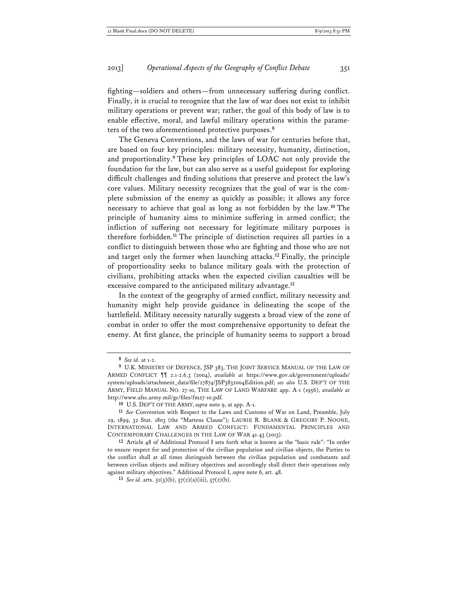fighting—soldiers and others—from unnecessary suffering during conflict. Finally, it is crucial to recognize that the law of war does not exist to inhibit military operations or prevent war; rather, the goal of this body of law is to enable effective, moral, and lawful military operations within the parameters of the two aforementioned protective purposes.**<sup>8</sup>**

The Geneva Conventions, and the laws of war for centuries before that, are based on four key principles: military necessity, humanity, distinction, and proportionality.**<sup>9</sup>** These key principles of LOAC not only provide the foundation for the law, but can also serve as a useful guidepost for exploring difficult challenges and finding solutions that preserve and protect the law's core values. Military necessity recognizes that the goal of war is the complete submission of the enemy as quickly as possible; it allows any force necessary to achieve that goal as long as not forbidden by the law.**<sup>10</sup>** The principle of humanity aims to minimize suffering in armed conflict; the infliction of suffering not necessary for legitimate military purposes is therefore forbidden.**<sup>11</sup>** The principle of distinction requires all parties in a conflict to distinguish between those who are fighting and those who are not and target only the former when launching attacks.**<sup>12</sup>** Finally, the principle of proportionality seeks to balance military goals with the protection of civilians, prohibiting attacks when the expected civilian casualties will be excessive compared to the anticipated military advantage.**<sup>13</sup>**

In the context of the geography of armed conflict, military necessity and humanity might help provide guidance in delineating the scope of the battlefield. Military necessity naturally suggests a broad view of the zone of combat in order to offer the most comprehensive opportunity to defeat the enemy. At first glance, the principle of humanity seems to support a broad

**<sup>8</sup>** *See id.* at 1-2.

**<sup>9</sup>** U.K. MINISTRY OF DEFENCE, JSP 383, THE JOINT SERVICE MANUAL OF THE LAW OF ARMED CONFLICT ¶¶ 2.1-2.6.3 (2004), *available at* https://www.gov.uk/government/uploads/ system/uploads/attachment\_data/file/27874/JSP3832004Edition.pdf; see also U.S. DEP'T OF THE ARMY, FIELD MANUAL NO. 27-10, THE LAW OF LAND WARFARE app. A-1 (1956), *available at* http://www.afsc.army.mil/gc/files/fm��-10.pdf*.*

**<sup>10</sup>** U.S. DEP'T OF THE ARMY, *supra* note 9, at app. A-1.

**<sup>11</sup>** *See* Convention with Respect to the Laws and Customs of War on Land, Preamble, July 29, 1899, 32 Stat. 1803 (the "Martens Clause"); LAURIE R. BLANK & GREGORY P. NOONE, INTERNATIONAL LAW AND ARMED CONFLICT: FUNDAMENTAL PRINCIPLES AND CONTEMPORARY CHALLENGES IN THE LAW OF WAR 41-43 (2013).

**<sup>12</sup>** Article 48 of Additional Protocol I sets forth what is known as the "basic rule": "In order to ensure respect for and protection of the civilian population and civilian objects, the Parties to the conflict shall at all times distinguish between the civilian population and combatants and between civilian objects and military objectives and accordingly shall direct their operations only against military objectives." Additional Protocol I, *supra* note 6, art. 48.

**<sup>13</sup>** *See id*. arts. 51(5)(b), 57(2)(a)(iii), 57(2)(b).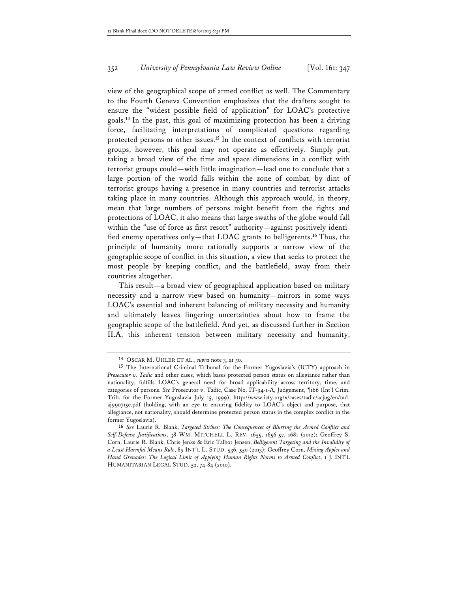view of the geographical scope of armed conflict as well. The Commentary to the Fourth Geneva Convention emphasizes that the drafters sought to ensure the "widest possible field of application" for LOAC's protective goals.**<sup>14</sup>** In the past, this goal of maximizing protection has been a driving force, facilitating interpretations of complicated questions regarding protected persons or other issues. **<sup>15</sup>** In the context of conflicts with terrorist groups, however, this goal may not operate as effectively. Simply put, taking a broad view of the time and space dimensions in a conflict with terrorist groups could—with little imagination—lead one to conclude that a large portion of the world falls within the zone of combat, by dint of terrorist groups having a presence in many countries and terrorist attacks taking place in many countries. Although this approach would, in theory, mean that large numbers of persons might benefit from the rights and protections of LOAC, it also means that large swaths of the globe would fall within the "use of force as first resort" authority—against positively identified enemy operatives only—that LOAC grants to belligerents.**<sup>16</sup>** Thus, the principle of humanity more rationally supports a narrow view of the geographic scope of conflict in this situation, a view that seeks to protect the most people by keeping conflict, and the battlefield, away from their countries altogether.

This result—a broad view of geographical application based on military necessity and a narrow view based on humanity—mirrors in some ways LOAC's essential and inherent balancing of military necessity and humanity and ultimately leaves lingering uncertainties about how to frame the geographic scope of the battlefield. And yet, as discussed further in Section II.A, this inherent tension between military necessity and humanity,

**<sup>14</sup>** OSCAR M. UHLER ET AL., *supra* note 3, at 50.

**<sup>15</sup>** The International Criminal Tribunal for the Former Yugoslavia's (ICTY) approach in *Prosecutor v. Tadic* and other cases, which bases protected person status on allegiance rather than nationality, fulfills LOAC's general need for broad applicability across territory, time, and categories of persons. *See* Prosecutor v. Tadic, Case No. IT-94-1-A, Judgement, ¶166 (Int'l Crim. Trib. for the Former Yugoslavia July 15, 1999), http://www.icty.org/x/cases/tadic/acjug/en/tadaj990715e.pdf (holding, with an eye to ensuring fidelity to LOAC's object and purpose, that allegiance, not nationality, should determine protected person status in the complex conflict in the former Yugoslavia).

**<sup>16</sup>** *See* Laurie R. Blank, *Targeted Strikes: The Consequences of Blurring the Armed Conflict and Self-Defense Justifications*, 38 WM. MITCHELL L. REV. 1655, 1656-57, 1681 (2012); Geoffrey S. Corn, Laurie R. Blank, Chris Jenks & Eric Talbot Jensen, *Belligerent Targeting and the Invalidity of a Least Harmful Means Rule*, 89 INT'L L. STUD. 536, 550 (2013); Geoffrey Corn, *Mixing Apples and Hand Grenades: The Logical Limit of Applying Human Rights Norms to Armed Conflict*, 1 J. INT'L HUMANITARIAN LEGAL STUD. 52, 74-84 (2010).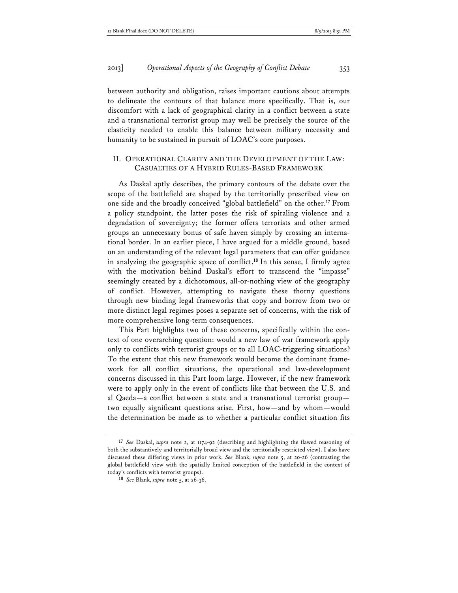between authority and obligation, raises important cautions about attempts to delineate the contours of that balance more specifically. That is, our discomfort with a lack of geographical clarity in a conflict between a state and a transnational terrorist group may well be precisely the source of the elasticity needed to enable this balance between military necessity and humanity to be sustained in pursuit of LOAC's core purposes.

### II. OPERATIONAL CLARITY AND THE DEVELOPMENT OF THE LAW: CASUALTIES OF A HYBRID RULES-BASED FRAMEWORK

As Daskal aptly describes, the primary contours of the debate over the scope of the battlefield are shaped by the territorially prescribed view on one side and the broadly conceived "global battlefield" on the other.**<sup>17</sup>** From a policy standpoint, the latter poses the risk of spiraling violence and a degradation of sovereignty; the former offers terrorists and other armed groups an unnecessary bonus of safe haven simply by crossing an international border. In an earlier piece, I have argued for a middle ground, based on an understanding of the relevant legal parameters that can offer guidance in analyzing the geographic space of conflict.**<sup>18</sup>** In this sense, I firmly agree with the motivation behind Daskal's effort to transcend the "impasse" seemingly created by a dichotomous, all-or-nothing view of the geography of conflict. However, attempting to navigate these thorny questions through new binding legal frameworks that copy and borrow from two or more distinct legal regimes poses a separate set of concerns, with the risk of more comprehensive long-term consequences.

This Part highlights two of these concerns, specifically within the context of one overarching question: would a new law of war framework apply only to conflicts with terrorist groups or to all LOAC-triggering situations? To the extent that this new framework would become the dominant framework for all conflict situations, the operational and law-development concerns discussed in this Part loom large. However, if the new framework were to apply only in the event of conflicts like that between the U.S. and al Qaeda—a conflict between a state and a transnational terrorist group two equally significant questions arise. First, how—and by whom—would the determination be made as to whether a particular conflict situation fits

**<sup>17</sup>** *See* Daskal, *supra* note 2, at 1174-�� (describing and highlighting the flawed reasoning of both the substantively and territorially broad view and the territorially restricted view). I also have discussed these differing views in prior work. *See* Blank, *supra* note 5, at 20-26 (contrasting the global battlefield view with the spatially limited conception of the battlefield in the context of today's conflicts with terrorist groups).

**<sup>18</sup>** *See* Blank, *supra* note 5, at 26-36.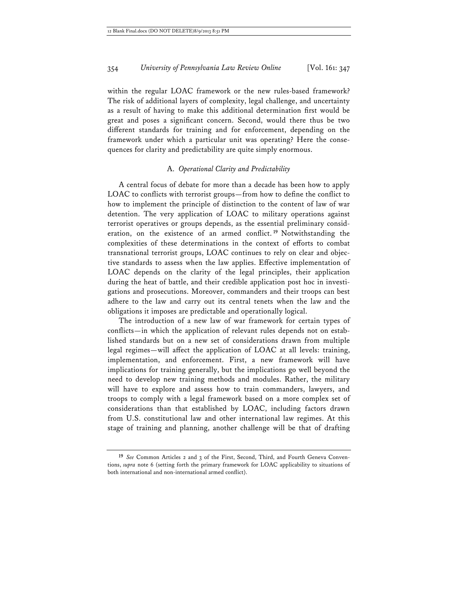within the regular LOAC framework or the new rules-based framework? The risk of additional layers of complexity, legal challenge, and uncertainty as a result of having to make this additional determination first would be great and poses a significant concern. Second, would there thus be two different standards for training and for enforcement, depending on the framework under which a particular unit was operating? Here the consequences for clarity and predictability are quite simply enormous.

### A. *Operational Clarity and Predictability*

A central focus of debate for more than a decade has been how to apply LOAC to conflicts with terrorist groups—from how to define the conflict to how to implement the principle of distinction to the content of law of war detention. The very application of LOAC to military operations against terrorist operatives or groups depends, as the essential preliminary consideration, on the existence of an armed conflict. **<sup>19</sup>** Notwithstanding the complexities of these determinations in the context of efforts to combat transnational terrorist groups, LOAC continues to rely on clear and objective standards to assess when the law applies. Effective implementation of LOAC depends on the clarity of the legal principles, their application during the heat of battle, and their credible application post hoc in investigations and prosecutions. Moreover, commanders and their troops can best adhere to the law and carry out its central tenets when the law and the obligations it imposes are predictable and operationally logical.

The introduction of a new law of war framework for certain types of conflicts—in which the application of relevant rules depends not on established standards but on a new set of considerations drawn from multiple legal regimes—will affect the application of LOAC at all levels: training, implementation, and enforcement. First, a new framework will have implications for training generally, but the implications go well beyond the need to develop new training methods and modules. Rather, the military will have to explore and assess how to train commanders, lawyers, and troops to comply with a legal framework based on a more complex set of considerations than that established by LOAC, including factors drawn from U.S. constitutional law and other international law regimes. At this stage of training and planning, another challenge will be that of drafting

**<sup>19</sup>** *See* Common Articles 2 and 3 of the First, Second, Third, and Fourth Geneva Conventions, *supra* note 6 (setting forth the primary framework for LOAC applicability to situations of both international and non-international armed conflict).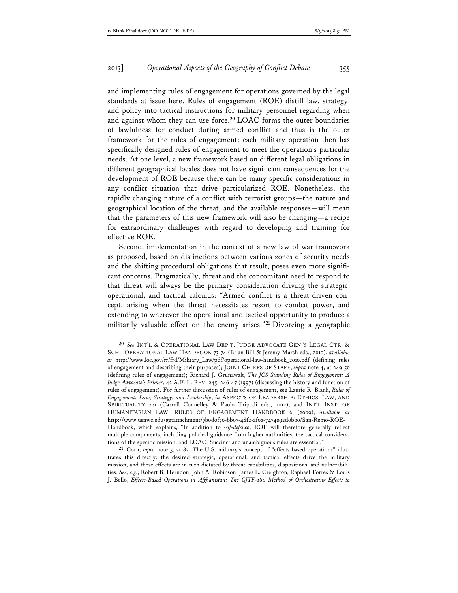and implementing rules of engagement for operations governed by the legal standards at issue here. Rules of engagement (ROE) distill law, strategy, and policy into tactical instructions for military personnel regarding when and against whom they can use force.**<sup>20</sup>** LOAC forms the outer boundaries of lawfulness for conduct during armed conflict and thus is the outer framework for the rules of engagement; each military operation then has specifically designed rules of engagement to meet the operation's particular needs. At one level, a new framework based on different legal obligations in different geographical locales does not have significant consequences for the development of ROE because there can be many specific considerations in any conflict situation that drive particularized ROE. Nonetheless, the rapidly changing nature of a conflict with terrorist groups—the nature and geographical location of the threat, and the available responses—will mean that the parameters of this new framework will also be changing—a recipe for extraordinary challenges with regard to developing and training for effective ROE.

Second, implementation in the context of a new law of war framework as proposed, based on distinctions between various zones of security needs and the shifting procedural obligations that result, poses even more significant concerns. Pragmatically, threat and the concomitant need to respond to that threat will always be the primary consideration driving the strategic, operational, and tactical calculus: "Armed conflict is a threat-driven concept, arising when the threat necessitates resort to combat power, and extending to wherever the operational and tactical opportunity to produce a militarily valuable effect on the enemy arises."**<sup>21</sup>** Divorcing a geographic

**<sup>20</sup>** *See* INT'L & OPERATIONAL LAW DEP'T, JUDGE ADVOCATE GEN.'S LEGAL CTR. & SCH., OPERATIONAL LAW HANDBOOK 73-74 (Brian Bill & Jeremy Marsh eds., 2010), *available at* http://www.loc.gov/rr/frd/Military\_Law/pdf/operational-law-handbook\_2010.pdf (defining rules of engagement and describing their purposes); JOINT CHIEFS OF STAFF, *supra* note 4, at 249-50 (defining rules of engagement); Richard J. Grunawalt, *The JCS Standing Rules of Engagement: A Judge Advocate's Primer*, 42 A.F. L. REV. 245, 246-47 (1997) (discussing the history and function of rules of engagement). For further discussion of rules of engagement, see Laurie R. Blank, *Rules of Engagement: Law, Strategy, and Leadership*, *in* ASPECTS OF LEADERSHIP: ETHICS, LAW, AND SPIRITUALITY 221 (Carroll Connelley & Paolo Tripodi eds., 2012), and INT'L INST. OF HUMANITARIAN LAW, RULES OF ENGAGEMENT HANDBOOK 6 (2009), *available at* http://www.usnwc.edu/getattachment/7b0d0f70-bb07-48f2-af0a-7474e92d0bb0/San-Remo-ROE-Handbook, which explains, "In addition to *self-defence*, ROE will therefore generally reflect multiple components, including political guidance from higher authorities, the tactical considerations of the specific mission, and LOAC. Succinct and unambiguous rules are essential."

**<sup>21</sup>** Corn, *supra* note 5, at ��. The U.S. military's concept of "effects-based operations" illustrates this directly: the desired strategic, operational, and tactical effects drive the military mission, and these effects are in turn dictated by threat capabilities, dispositions, and vulnerabilities. *See, e.g.*, Robert B. Herndon, John A. Robinson, James L. Creighton, Raphael Torres & Louis J. Bello, *Effects-Based Operations in Afghanistan: The CJTF-180 Method of Orchestrating Effects to*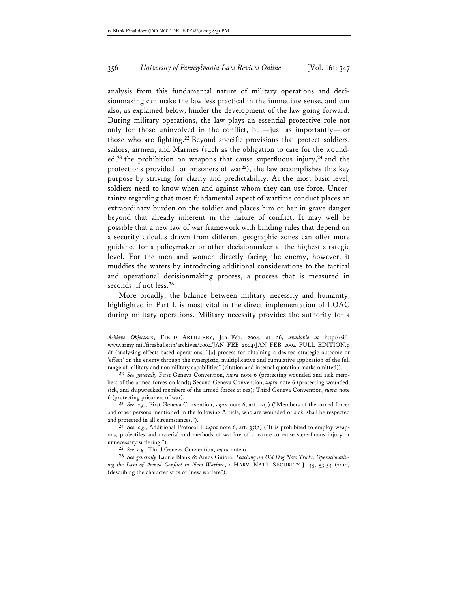analysis from this fundamental nature of military operations and decisionmaking can make the law less practical in the immediate sense, and can also, as explained below, hinder the development of the law going forward. During military operations, the law plays an essential protective role not only for those uninvolved in the conflict, but—just as importantly—for those who are fighting.**<sup>22</sup>** Beyond specific provisions that protect soldiers, sailors, airmen, and Marines (such as the obligation to care for the wounded,**<sup>23</sup>** the prohibition on weapons that cause superfluous injury,**<sup>24</sup>** and the protections provided for prisoners of war**<sup>25</sup>**), the law accomplishes this key purpose by striving for clarity and predictability. At the most basic level, soldiers need to know when and against whom they can use force. Uncertainty regarding that most fundamental aspect of wartime conduct places an extraordinary burden on the soldier and places him or her in grave danger beyond that already inherent in the nature of conflict. It may well be possible that a new law of war framework with binding rules that depend on a security calculus drawn from different geographic zones can offer more guidance for a policymaker or other decisionmaker at the highest strategic level. For the men and women directly facing the enemy, however, it muddies the waters by introducing additional considerations to the tactical and operational decisionmaking process, a process that is measured in seconds, if not less.**<sup>26</sup>**

More broadly, the balance between military necessity and humanity, highlighted in Part I, is most vital in the direct implementation of LOAC during military operations. Military necessity provides the authority for a

**23** *See, e.g.*, First Geneva Convention, *supra* note 6, art. 12(1) ("Members of the armed forces and other persons mentioned in the following Article, who are wounded or sick, shall be respected and protected in all circumstances.").

**24** *See, e.g.*, Additional Protocol I, *supra* note 6, art. 35(2) ("It is prohibited to employ weapons, projectiles and material and methods of warfare of a nature to cause superfluous injury or unnecessary suffering.").

**25** *See, e.g.*, Third Geneva Convention, *supra* note 6.

**26** *See generally* Laurie Blank & Amos Guiora, *Teaching an Old Dog New Tricks: Operationalizing the Law of Armed Conflict in New Warfare*, 1 HARV. NAT'L SECURITY J. 45, 53-54 (2010) (describing the characteristics of "new warfare").

*Achieve Objectives*, FIELD ARTILLERY, Jan.-Feb. 2004, at 26, *available at* http://sillwww.army.mil/firesbulletin/archives/����/JAN\_FEB\_2004/JAN\_FEB\_2004\_FULL\_EDITION.p df (analyzing effects-based operations, "[a] process for obtaining a desired strategic outcome or 'effect' on the enemy through the synergistic, multiplicative and cumulative application of the full range of military and nonmilitary capabilities" (citation and internal quotation marks omitted)).

**<sup>22</sup>** *See generally* First Geneva Convention, *supra* note 6 (protecting wounded and sick members of the armed forces on land); Second Geneva Convention, *supra* note 6 (protecting wounded, sick, and shipwrecked members of the armed forces at sea); Third Geneva Convention, *supra* note 6 (protecting prisoners of war).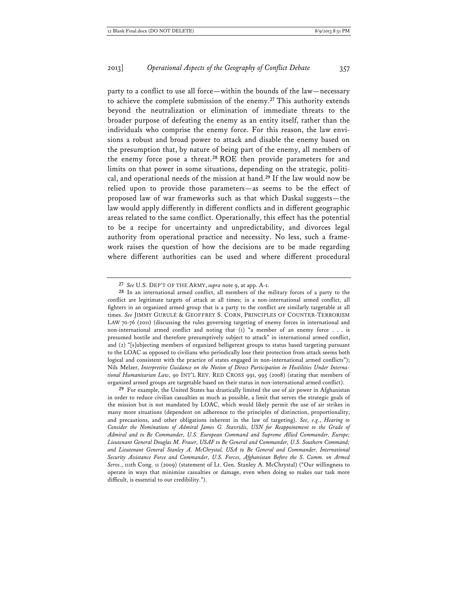party to a conflict to use all force—within the bounds of the law—necessary to achieve the complete submission of the enemy.**<sup>27</sup>** This authority extends beyond the neutralization or elimination of immediate threats to the broader purpose of defeating the enemy as an entity itself, rather than the individuals who comprise the enemy force. For this reason, the law envisions a robust and broad power to attack and disable the enemy based on the presumption that, by nature of being part of the enemy, all members of the enemy force pose a threat.**<sup>28</sup>** ROE then provide parameters for and limits on that power in some situations, depending on the strategic, political, and operational needs of the mission at hand.**<sup>29</sup>** If the law would now be relied upon to provide those parameters—as seems to be the effect of proposed law of war frameworks such as that which Daskal suggests—the law would apply differently in different conflicts and in different geographic areas related to the same conflict. Operationally, this effect has the potential to be a recipe for uncertainty and unpredictability, and divorces legal authority from operational practice and necessity. No less, such a framework raises the question of how the decisions are to be made regarding where different authorities can be used and where different procedural

**29** For example, the United States has drastically limited the use of air power in Afghanistan in order to reduce civilian casualties as much as possible, a limit that serves the strategic goals of the mission but is not mandated by LOAC, which would likely permit the use of air strikes in many more situations (dependent on adherence to the principles of distinction, proportionality, and precautions, and other obligations inherent in the law of targeting). *See, e.g.*, *Hearing to Consider the Nominations of Admiral James G. Stavridis, USN for Reappointment to the Grade of Admiral and to Be Commander, U.S. European Command and Supreme Allied Commander, Europe; Lieutenant General Douglas M. Fraser, USAF to Be General and Commander, U.S. Southern Command; and Lieutenant General Stanley A. McChrystal, USA to Be General and Commander, International Security Assistance Force and Commander, U.S. Forces, Afghanistan Before the S. Comm. on Armed Servs.*, 111th Cong. 11 (2009) (statement of Lt. Gen. Stanley A. McChrystal) ("Our willingness to operate in ways that minimize casualties or damage, even when doing so makes our task more difficult, is essential to our credibility.").

**<sup>27</sup>** *See* U.S. DEP'T OF THE ARMY, *supra* note 9, at app. A-1.

**<sup>28</sup>** In an international armed conflict, all members of the military forces of a party to the conflict are legitimate targets of attack at all times; in a non-international armed conflict, all fighters in an organized armed group that is a party to the conflict are similarly targetable at all times. *See* JIMMY GURULÉ & GEOFFREY S. CORN, PRINCIPLES OF COUNTER-TERRORISM LAW 70-76 (2011) (discussing the rules governing targeting of enemy forces in international and non-international armed conflict and noting that (�) "a member of an enemy force . . . is presumed hostile and therefore presumptively subject to attack" in international armed conflict, and (2) "[s]ubjecting members of organized belligerent groups to status based targeting pursuant to the LOAC as opposed to civilians who periodically lose their protection from attack seems both logical and consistent with the practice of states engaged in non-international armed conflicts"); Nils Melzer, *Interpretive Guidance on the Notion of Direct Participation in Hostilities Under International Humanitarian Law*, 90 INT'L REV. RED CROSS 991, 995 (2008) (stating that members of organized armed groups are targetable based on their status in non-international armed conflict).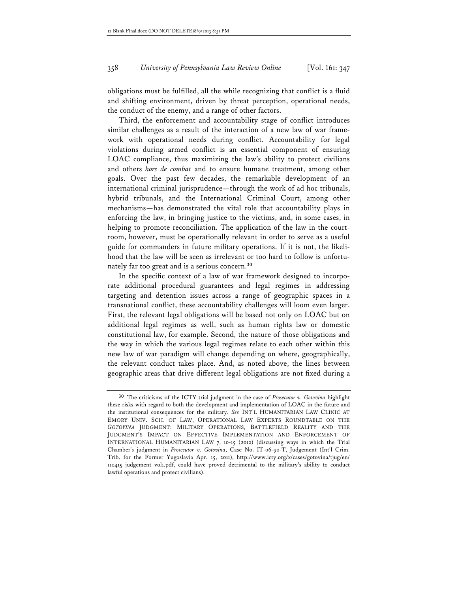obligations must be fulfilled, all the while recognizing that conflict is a fluid and shifting environment, driven by threat perception, operational needs, the conduct of the enemy, and a range of other factors.

Third, the enforcement and accountability stage of conflict introduces similar challenges as a result of the interaction of a new law of war framework with operational needs during conflict. Accountability for legal violations during armed conflict is an essential component of ensuring LOAC compliance, thus maximizing the law's ability to protect civilians and others *hors de combat* and to ensure humane treatment, among other goals. Over the past few decades, the remarkable development of an international criminal jurisprudence—through the work of ad hoc tribunals, hybrid tribunals, and the International Criminal Court, among other mechanisms—has demonstrated the vital role that accountability plays in enforcing the law, in bringing justice to the victims, and, in some cases, in helping to promote reconciliation. The application of the law in the courtroom, however, must be operationally relevant in order to serve as a useful guide for commanders in future military operations. If it is not, the likelihood that the law will be seen as irrelevant or too hard to follow is unfortunately far too great and is a serious concern.**<sup>30</sup>**

In the specific context of a law of war framework designed to incorporate additional procedural guarantees and legal regimes in addressing targeting and detention issues across a range of geographic spaces in a transnational conflict, these accountability challenges will loom even larger. First, the relevant legal obligations will be based not only on LOAC but on additional legal regimes as well, such as human rights law or domestic constitutional law, for example. Second, the nature of those obligations and the way in which the various legal regimes relate to each other within this new law of war paradigm will change depending on where, geographically, the relevant conduct takes place. And, as noted above, the lines between geographic areas that drive different legal obligations are not fixed during a

**<sup>30</sup>** The criticisms of the ICTY trial judgment in the case of *Prosecutor v. Gotovina* highlight these risks with regard to both the development and implementation of LOAC in the future and the institutional consequences for the military. *See* INT'L HUMANITARIAN LAW CLINIC AT EMORY UNIV. SCH. OF LAW, OPERATIONAL LAW EXPERTS ROUNDTABLE ON THE *GOTOVINA* JUDGMENT: MILITARY OPERATIONS, BATTLEFIELD REALITY AND THE JUDGMENT'S IMPACT ON EFFECTIVE IMPLEMENTATION AND ENFORCEMENT OF INTERNATIONAL HUMANITARIAN LAW 7, 10-15 (2012) (discussing ways in which the Trial Chamber's judgment in *Prosecutor v. Gotovina*, Case No. IT-06-90-T, Judgement (Int'l Crim. Trib. for the Former Yugoslavia Apr. 15, 2011), http://www.icty.org/x/cases/gotovina/tjug/en/ 110415\_judgement\_vol1.pdf, could have proved detrimental to the military's ability to conduct lawful operations and protect civilians).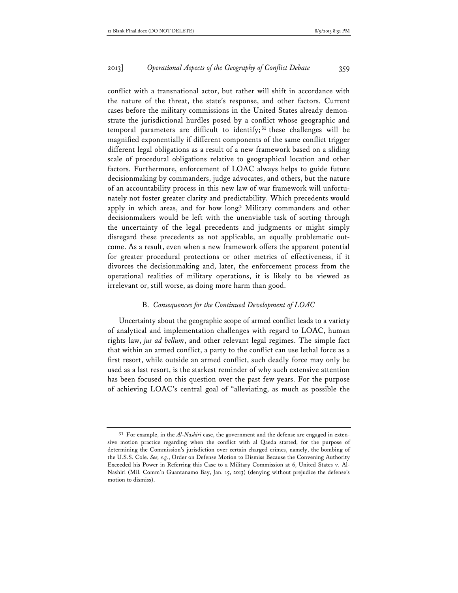conflict with a transnational actor, but rather will shift in accordance with the nature of the threat, the state's response, and other factors. Current cases before the military commissions in the United States already demonstrate the jurisdictional hurdles posed by a conflict whose geographic and temporal parameters are difficult to identify; **<sup>31</sup>** these challenges will be magnified exponentially if different components of the same conflict trigger different legal obligations as a result of a new framework based on a sliding scale of procedural obligations relative to geographical location and other factors. Furthermore, enforcement of LOAC always helps to guide future decisionmaking by commanders, judge advocates, and others, but the nature of an accountability process in this new law of war framework will unfortunately not foster greater clarity and predictability. Which precedents would apply in which areas, and for how long? Military commanders and other decisionmakers would be left with the unenviable task of sorting through the uncertainty of the legal precedents and judgments or might simply disregard these precedents as not applicable, an equally problematic outcome. As a result, even when a new framework offers the apparent potential for greater procedural protections or other metrics of effectiveness, if it divorces the decisionmaking and, later, the enforcement process from the operational realities of military operations, it is likely to be viewed as irrelevant or, still worse, as doing more harm than good.

#### B. *Consequences for the Continued Development of LOAC*

Uncertainty about the geographic scope of armed conflict leads to a variety of analytical and implementation challenges with regard to LOAC, human rights law, *jus ad bellum*, and other relevant legal regimes. The simple fact that within an armed conflict, a party to the conflict can use lethal force as a first resort, while outside an armed conflict, such deadly force may only be used as a last resort, is the starkest reminder of why such extensive attention has been focused on this question over the past few years. For the purpose of achieving LOAC's central goal of "alleviating, as much as possible the

**<sup>31</sup>** For example, in the *Al-Nashiri* case, the government and the defense are engaged in extensive motion practice regarding when the conflict with al Qaeda started, for the purpose of determining the Commission's jurisdiction over certain charged crimes, namely, the bombing of the U.S.S. Cole. *See, e.g.*, Order on Defense Motion to Dismiss Because the Convening Authority Exceeded his Power in Referring this Case to a Military Commission at 6, United States v. Al-Nashiri (Mil. Comm'n Guantanamo Bay, Jan. 15, 2013) (denying without prejudice the defense's motion to dismiss).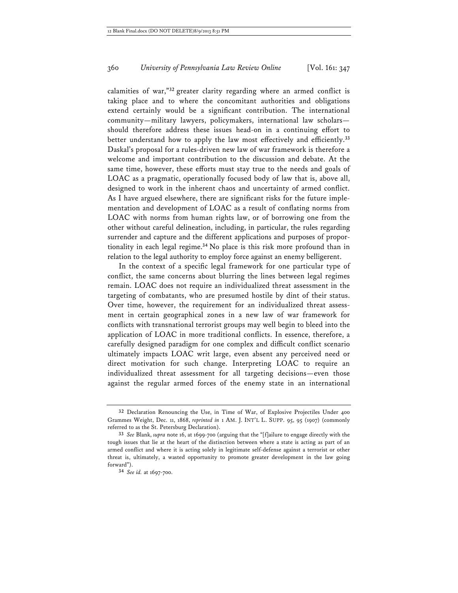calamities of war,"**<sup>32</sup>** greater clarity regarding where an armed conflict is taking place and to where the concomitant authorities and obligations extend certainly would be a significant contribution. The international community—military lawyers, policymakers, international law scholars should therefore address these issues head-on in a continuing effort to better understand how to apply the law most effectively and efficiently.**<sup>33</sup>** Daskal's proposal for a rules-driven new law of war framework is therefore a welcome and important contribution to the discussion and debate. At the same time, however, these efforts must stay true to the needs and goals of LOAC as a pragmatic, operationally focused body of law that is, above all, designed to work in the inherent chaos and uncertainty of armed conflict. As I have argued elsewhere, there are significant risks for the future implementation and development of LOAC as a result of conflating norms from LOAC with norms from human rights law, or of borrowing one from the other without careful delineation, including, in particular, the rules regarding surrender and capture and the different applications and purposes of proportionality in each legal regime.**<sup>34</sup>** No place is this risk more profound than in relation to the legal authority to employ force against an enemy belligerent.

In the context of a specific legal framework for one particular type of conflict, the same concerns about blurring the lines between legal regimes remain. LOAC does not require an individualized threat assessment in the targeting of combatants, who are presumed hostile by dint of their status. Over time, however, the requirement for an individualized threat assessment in certain geographical zones in a new law of war framework for conflicts with transnational terrorist groups may well begin to bleed into the application of LOAC in more traditional conflicts. In essence, therefore, a carefully designed paradigm for one complex and difficult conflict scenario ultimately impacts LOAC writ large, even absent any perceived need or direct motivation for such change. Interpreting LOAC to require an individualized threat assessment for all targeting decisions—even those against the regular armed forces of the enemy state in an international

**<sup>32</sup>** Declaration Renouncing the Use, in Time of War, of Explosive Projectiles Under 400 Grammes Weight, Dec. 11, 1868, *reprinted in* 1 AM. J. INT'L L. SUPP. 95, 95 (1907) (commonly referred to as the St. Petersburg Declaration).

**<sup>33</sup>** *See* Blank, *supra* note 16, at 1699-700 (arguing that the "[f]ailure to engage directly with the tough issues that lie at the heart of the distinction between where a state is acting as part of an armed conflict and where it is acting solely in legitimate self-defense against a terrorist or other threat is, ultimately, a wasted opportunity to promote greater development in the law going forward").

**<sup>34</sup>** *See id.* at 1697-700.